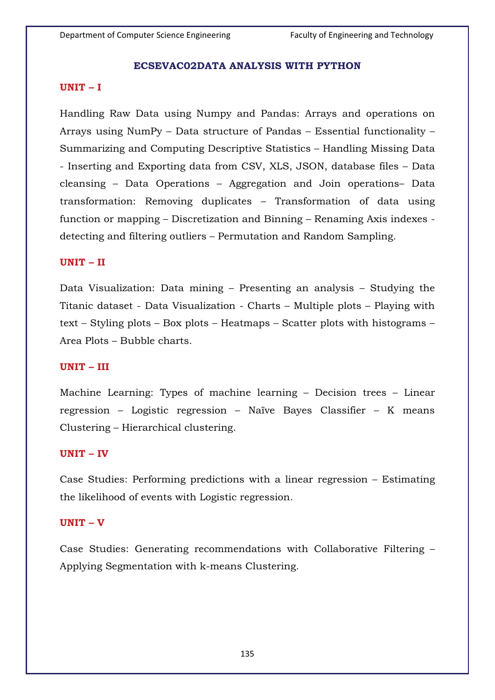### **ECSEVAC02DATA ANALYSIS WITH PYTHON**

### **UNIT – I**

Handling Raw Data using Numpy and Pandas: Arrays and operations on Arrays using NumPy – Data structure of Pandas – Essential functionality – Summarizing and Computing Descriptive Statistics – Handling Missing Data - Inserting and Exporting data from CSV, XLS, JSON, database files – Data cleansing – Data Operations – Aggregation and Join operations– Data transformation: Removing duplicates – Transformation of data using function or mapping – Discretization and Binning – Renaming Axis indexes detecting and filtering outliers – Permutation and Random Sampling.

### **UNIT – II**

Data Visualization: Data mining – Presenting an analysis – Studying the Titanic dataset - Data Visualization - Charts – Multiple plots – Playing with text – Styling plots – Box plots – Heatmaps – Scatter plots with histograms – Area Plots – Bubble charts.

#### **UNIT – III**

Machine Learning: Types of machine learning – Decision trees – Linear regression – Logistic regression – Naïve Bayes Classifier – K means Clustering – Hierarchical clustering.

#### **UNIT – IV**

Case Studies: Performing predictions with a linear regression – Estimating the likelihood of events with Logistic regression.

#### **UNIT – V**

Case Studies: Generating recommendations with Collaborative Filtering – Applying Segmentation with k-means Clustering.